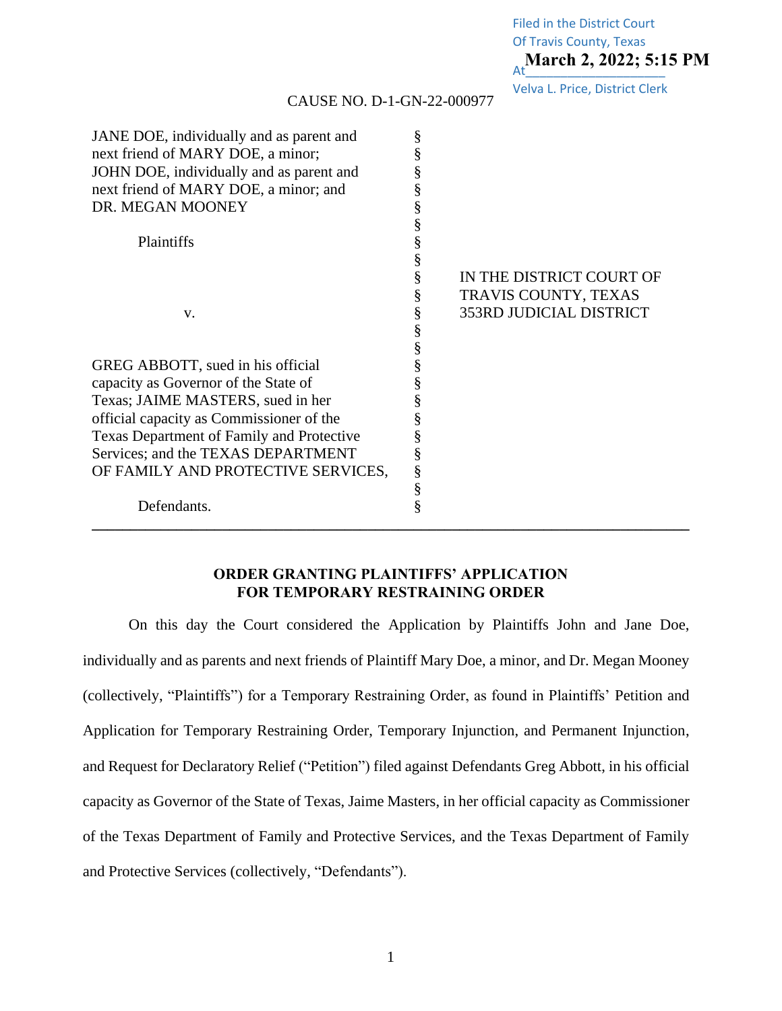**March 2, 2022; 5:15 PM** Filed in the District Court Of Travis County, Texas

Velva L. Price, District Clerk

| JANE DOE, individually and as parent and  | § |                                |
|-------------------------------------------|---|--------------------------------|
| next friend of MARY DOE, a minor;         | § |                                |
| JOHN DOE, individually and as parent and  | § |                                |
| next friend of MARY DOE, a minor; and     | § |                                |
| DR. MEGAN MOONEY                          | § |                                |
|                                           | § |                                |
| Plaintiffs                                | § |                                |
|                                           | § |                                |
|                                           | § | IN THE DISTRICT COURT OF       |
|                                           | § | TRAVIS COUNTY, TEXAS           |
| V.                                        | § | <b>353RD JUDICIAL DISTRICT</b> |
|                                           | § |                                |
|                                           | § |                                |
| GREG ABBOTT, sued in his official         | § |                                |
| capacity as Governor of the State of      | § |                                |
| Texas; JAIME MASTERS, sued in her         | § |                                |
| official capacity as Commissioner of the  | § |                                |
| Texas Department of Family and Protective | § |                                |
| Services; and the TEXAS DEPARTMENT        | § |                                |
| OF FAMILY AND PROTECTIVE SERVICES,        | § |                                |
|                                           | § |                                |
| Defendants.                               | § |                                |
|                                           |   |                                |

## CAUSE NO. D-1-GN-22-000977

## **ORDER GRANTING PLAINTIFFS' APPLICATION FOR TEMPORARY RESTRAINING ORDER**

On this day the Court considered the Application by Plaintiffs John and Jane Doe, individually and as parents and next friends of Plaintiff Mary Doe, a minor, and Dr. Megan Mooney (collectively, "Plaintiffs") for a Temporary Restraining Order, as found in Plaintiffs' Petition and Application for Temporary Restraining Order, Temporary Injunction, and Permanent Injunction, and Request for Declaratory Relief ("Petition") filed against Defendants Greg Abbott, in his official capacity as Governor of the State of Texas, Jaime Masters, in her official capacity as Commissioner of the Texas Department of Family and Protective Services, and the Texas Department of Family and Protective Services (collectively, "Defendants").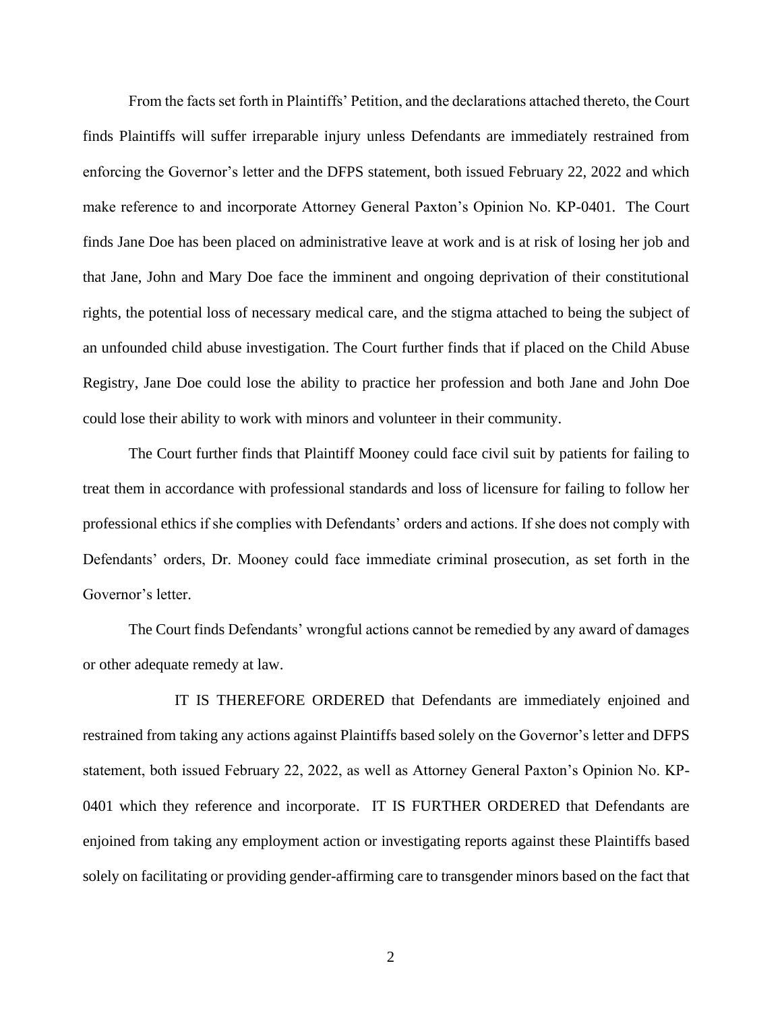From the facts set forth in Plaintiffs' Petition, and the declarations attached thereto, the Court finds Plaintiffs will suffer irreparable injury unless Defendants are immediately restrained from enforcing the Governor's letter and the DFPS statement, both issued February 22, 2022 and which make reference to and incorporate Attorney General Paxton's Opinion No. KP-0401. The Court finds Jane Doe has been placed on administrative leave at work and is at risk of losing her job and that Jane, John and Mary Doe face the imminent and ongoing deprivation of their constitutional rights, the potential loss of necessary medical care, and the stigma attached to being the subject of an unfounded child abuse investigation. The Court further finds that if placed on the Child Abuse Registry, Jane Doe could lose the ability to practice her profession and both Jane and John Doe could lose their ability to work with minors and volunteer in their community.

The Court further finds that Plaintiff Mooney could face civil suit by patients for failing to treat them in accordance with professional standards and loss of licensure for failing to follow her professional ethics if she complies with Defendants' orders and actions. If she does not comply with Defendants' orders, Dr. Mooney could face immediate criminal prosecution, as set forth in the Governor's letter.

The Court finds Defendants' wrongful actions cannot be remedied by any award of damages or other adequate remedy at law.

IT IS THEREFORE ORDERED that Defendants are immediately enjoined and restrained from taking any actions against Plaintiffs based solely on the Governor's letter and DFPS statement, both issued February 22, 2022, as well as Attorney General Paxton's Opinion No. KP-0401 which they reference and incorporate. IT IS FURTHER ORDERED that Defendants are enjoined from taking any employment action or investigating reports against these Plaintiffs based solely on facilitating or providing gender-affirming care to transgender minors based on the fact that

2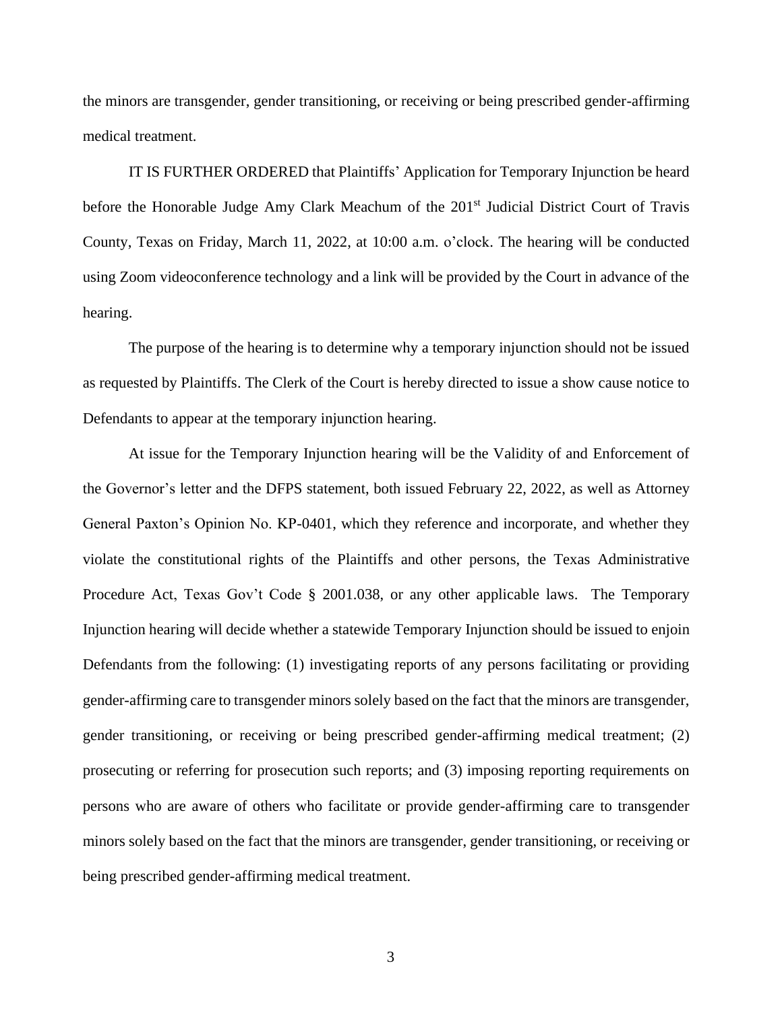the minors are transgender, gender transitioning, or receiving or being prescribed gender-affirming medical treatment.

IT IS FURTHER ORDERED that Plaintiffs' Application for Temporary Injunction be heard before the Honorable Judge Amy Clark Meachum of the 201<sup>st</sup> Judicial District Court of Travis County, Texas on Friday, March 11, 2022, at 10:00 a.m. o'clock. The hearing will be conducted using Zoom videoconference technology and a link will be provided by the Court in advance of the hearing.

The purpose of the hearing is to determine why a temporary injunction should not be issued as requested by Plaintiffs. The Clerk of the Court is hereby directed to issue a show cause notice to Defendants to appear at the temporary injunction hearing.

At issue for the Temporary Injunction hearing will be the Validity of and Enforcement of the Governor's letter and the DFPS statement, both issued February 22, 2022, as well as Attorney General Paxton's Opinion No. KP-0401, which they reference and incorporate, and whether they violate the constitutional rights of the Plaintiffs and other persons, the Texas Administrative Procedure Act, Texas Gov't Code § 2001.038, or any other applicable laws. The Temporary Injunction hearing will decide whether a statewide Temporary Injunction should be issued to enjoin Defendants from the following: (1) investigating reports of any persons facilitating or providing gender-affirming care to transgender minors solely based on the fact that the minors are transgender, gender transitioning, or receiving or being prescribed gender-affirming medical treatment; (2) prosecuting or referring for prosecution such reports; and (3) imposing reporting requirements on persons who are aware of others who facilitate or provide gender-affirming care to transgender minors solely based on the fact that the minors are transgender, gender transitioning, or receiving or being prescribed gender-affirming medical treatment.